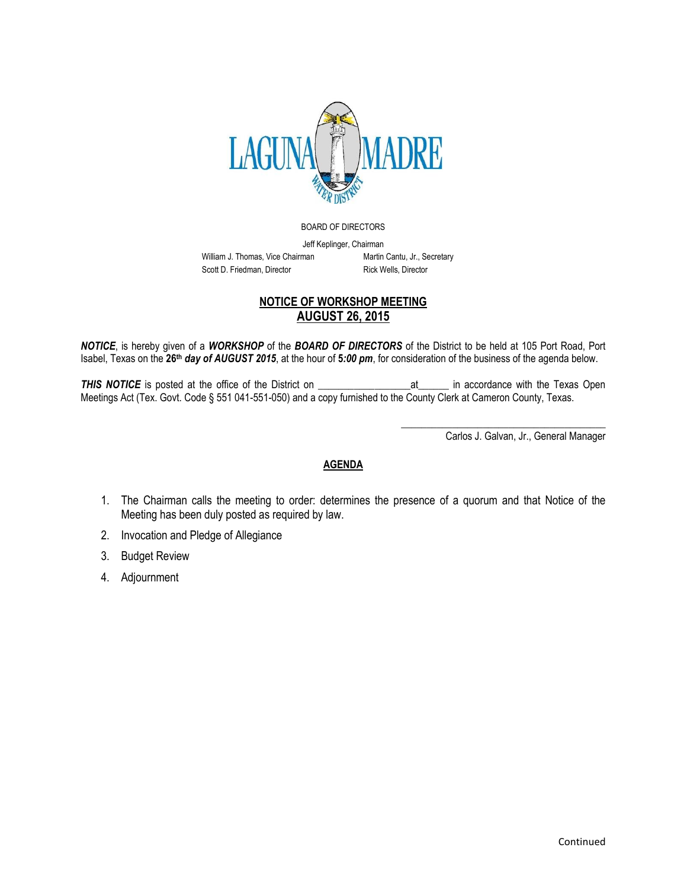

BOARD OF DIRECTORS

Jeff Keplinger, Chairman William J. Thomas, Vice Chairman Martin Cantu, Jr., Secretary Scott D. Friedman, Director Rick Wells, Director

## **NOTICE OF WORKSHOP MEETING AUGUST 26, 2015**

*NOTICE*, is hereby given of a *WORKSHOP* of the *BOARD OF DIRECTORS* of the District to be held at 105 Port Road, Port Isabel, Texas on the **26th** *day of AUGUST 2015*, at the hour of **5***:00 pm*, for consideration of the business of the agenda below.

**THIS NOTICE** is posted at the office of the District on Texas Open at The accordance with the Texas Open Meetings Act (Tex. Govt. Code § 551 041-551-050) and a copy furnished to the County Clerk at Cameron County, Texas.

Carlos J. Galvan, Jr., General Manager

\_\_\_\_\_\_\_\_\_\_\_\_\_\_\_\_\_\_\_\_\_\_\_\_\_\_\_\_\_\_\_\_\_\_\_\_\_\_\_\_

## **AGENDA**

- 1. The Chairman calls the meeting to order: determines the presence of a quorum and that Notice of the Meeting has been duly posted as required by law.
- 2. Invocation and Pledge of Allegiance
- 3. Budget Review
- 4. Adjournment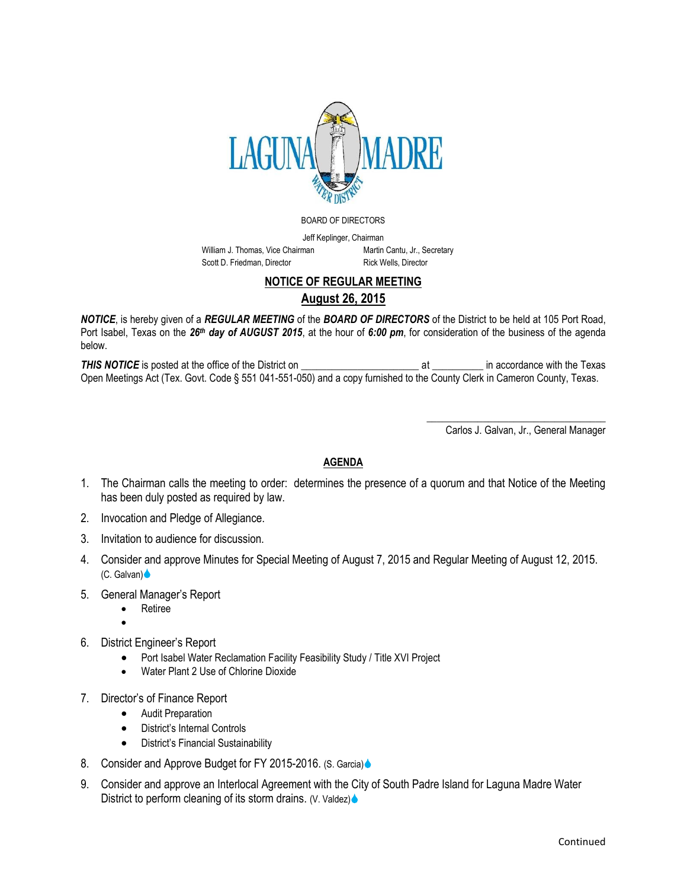

BOARD OF DIRECTORS

Jeff Keplinger, Chairman William J. Thomas, Vice Chairman Martin Cantu, Jr., Secretary Scott D. Friedman, Director Rick Wells, Director

## **NOTICE OF REGULAR MEETING**

**August 26, 2015**

*NOTICE*, is hereby given of a *REGULAR MEETING* of the *BOARD OF DIRECTORS* of the District to be held at 105 Port Road, Port Isabel, Texas on the *26th day of AUGUST 2015*, at the hour of *6:00 pm*, for consideration of the business of the agenda below.

*THIS NOTICE* is posted at the office of the District on \_\_\_\_\_\_\_\_\_\_\_\_\_\_\_\_\_\_\_\_\_\_\_ at \_\_\_\_\_\_\_\_\_\_ in accordance with the Texas Open Meetings Act (Tex. Govt. Code § 551 041-551-050) and a copy furnished to the County Clerk in Cameron County, Texas.

> \_\_\_\_\_\_\_\_\_\_\_\_\_\_\_\_\_\_\_\_\_\_\_\_\_\_\_\_\_\_\_\_\_\_\_ Carlos J. Galvan, Jr., General Manager

## **AGENDA**

- 1. The Chairman calls the meeting to order: determines the presence of a quorum and that Notice of the Meeting has been duly posted as required by law.
- 2. Invocation and Pledge of Allegiance.
- 3. Invitation to audience for discussion.
- 4. Consider and approve Minutes for Special Meeting of August 7, 2015 and Regular Meeting of August 12, 2015. (C. Galvan)
- 5. General Manager's Report
	- Retiree

 $\bullet$ 

- 6. District Engineer's Report
	- Port Isabel Water Reclamation Facility Feasibility Study / Title XVI Project
	- Water Plant 2 Use of Chlorine Dioxide
- 7. Director's of Finance Report
	- Audit Preparation
	- District's Internal Controls
	- District's Financial Sustainability
- 8. Consider and Approve Budget for FY 2015-2016. (S. Garcia)
- 9. Consider and approve an Interlocal Agreement with the City of South Padre Island for Laguna Madre Water District to perform cleaning of its storm drains. (V. Valdez)